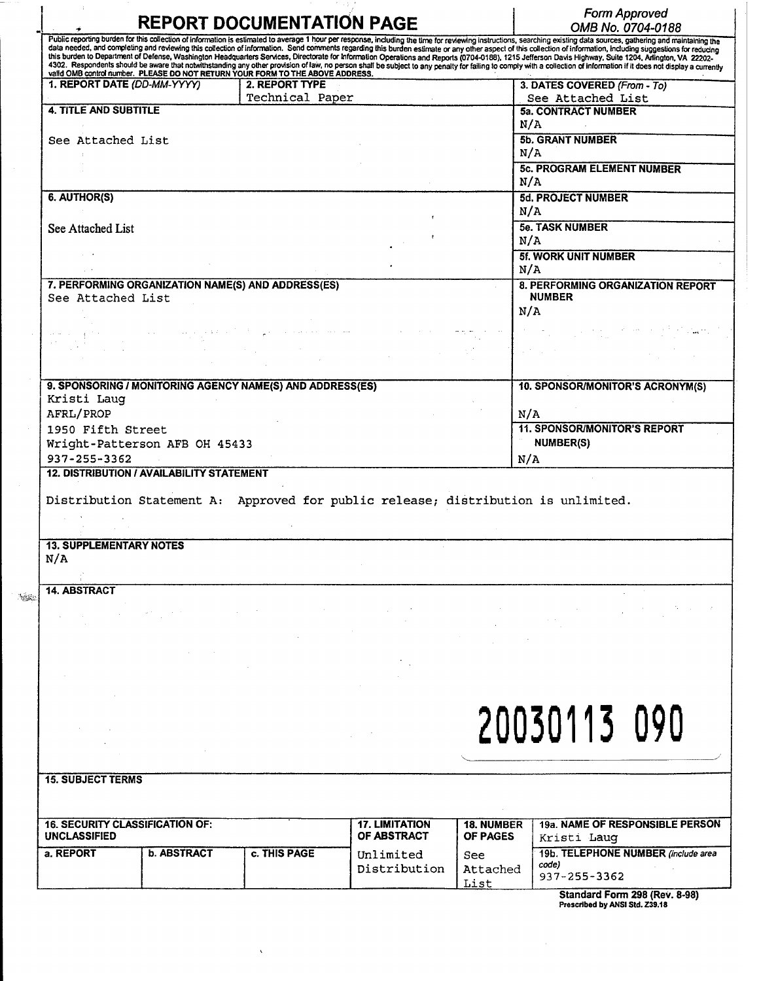| Public reporting burden for this collection of information is estimated to average 1 hour per response, including the time for reviewing instructions, searching existing data sources, gathering and maintaining the<br>data needed, and completing and reviewing this collection of information. Send comments regarding this burden estimate or any other aspect of this collection of information, including suggestions for reducing<br>this burden to Department of Defense, Washington Headquarters Services, Directorate for Information Operations and Reports (0704-0188), 1215 Jefferson Davis Highway, Suite 1204, Affington, VA 22202-<br>4302. Respondents should be aware that notwithstanding any other provision of law, no person shall be subject to any penalty for failing to comply with a collection of information if it does not display a currently<br>valid OMB control number. PLEASE DO NOT RETURN YOUR FORM TO THE ABOVE ADDRESS.<br>1. REPORT DATE (DD-MM-YYYY)<br>2. REPORT TYPE<br>3. DATES COVERED (From - To)<br>Technical Paper<br>See Attached List<br><b>4. TITLE AND SUBTITLE</b><br><b>5a. CONTRACT NUMBER</b><br>N/A<br><b>5b. GRANT NUMBER</b><br>See Attached List<br>N/A<br><b>5c. PROGRAM ELEMENT NUMBER</b><br>N/A<br>6. AUTHOR(S)<br><b>5d. PROJECT NUMBER</b><br>N/A<br><b>5e. TASK NUMBER</b><br>See Attached List<br>N/A<br><b>5f. WORK UNIT NUMBER</b><br>N/A<br>7. PERFORMING ORGANIZATION NAME(S) AND ADDRESS(ES)<br>8. PERFORMING ORGANIZATION REPORT<br><b>NUMBER</b><br>See Attached List<br>N/A<br>9. SPONSORING / MONITORING AGENCY NAME(S) AND ADDRESS(ES)<br>10. SPONSOR/MONITOR'S ACRONYM(S)<br>Kristi Laug<br>AFRL/PROP<br>N/A<br><b>11. SPONSOR/MONITOR'S REPORT</b><br>1950 Fifth Street<br>NUMBER(S)<br>Wright-Patterson AFB OH 45433<br>937-255-3362<br>N/A<br><b>12. DISTRIBUTION / AVAILABILITY STATEMENT</b><br>Distribution Statement A: Approved for public release; distribution is unlimited.<br><b>13. SUPPLEMENTARY NOTES</b><br>N/A<br>14. ABSTRACT<br>20030113 090<br><b>15. SUBJECT TERMS</b><br><b>16. SECURITY CLASSIFICATION OF:</b><br><b>17. LIMITATION</b><br><b>18. NUMBER</b><br>OF ABSTRACT<br><b>UNCLASSIFIED</b><br><b>OF PAGES</b><br>Kristi Laug<br><b>b. ABSTRACT</b><br>a. REPORT<br>c. THIS PAGE<br>Unlimited<br>See<br>code) |  | <b>REPORT DOCUMENTATION PAGE</b> |              |                  | OMB No. 0704-0188                   |
|-----------------------------------------------------------------------------------------------------------------------------------------------------------------------------------------------------------------------------------------------------------------------------------------------------------------------------------------------------------------------------------------------------------------------------------------------------------------------------------------------------------------------------------------------------------------------------------------------------------------------------------------------------------------------------------------------------------------------------------------------------------------------------------------------------------------------------------------------------------------------------------------------------------------------------------------------------------------------------------------------------------------------------------------------------------------------------------------------------------------------------------------------------------------------------------------------------------------------------------------------------------------------------------------------------------------------------------------------------------------------------------------------------------------------------------------------------------------------------------------------------------------------------------------------------------------------------------------------------------------------------------------------------------------------------------------------------------------------------------------------------------------------------------------------------------------------------------------------------------------------------------------------------------------------------------------------------------------------------------------------------------------------------------------------------------------------------------------------------------------------------------------------------------------------------------------------------------------------------------------------------------------------------------------------------------------------------|--|----------------------------------|--------------|------------------|-------------------------------------|
|                                                                                                                                                                                                                                                                                                                                                                                                                                                                                                                                                                                                                                                                                                                                                                                                                                                                                                                                                                                                                                                                                                                                                                                                                                                                                                                                                                                                                                                                                                                                                                                                                                                                                                                                                                                                                                                                                                                                                                                                                                                                                                                                                                                                                                                                                                                             |  |                                  |              |                  |                                     |
|                                                                                                                                                                                                                                                                                                                                                                                                                                                                                                                                                                                                                                                                                                                                                                                                                                                                                                                                                                                                                                                                                                                                                                                                                                                                                                                                                                                                                                                                                                                                                                                                                                                                                                                                                                                                                                                                                                                                                                                                                                                                                                                                                                                                                                                                                                                             |  |                                  |              |                  |                                     |
|                                                                                                                                                                                                                                                                                                                                                                                                                                                                                                                                                                                                                                                                                                                                                                                                                                                                                                                                                                                                                                                                                                                                                                                                                                                                                                                                                                                                                                                                                                                                                                                                                                                                                                                                                                                                                                                                                                                                                                                                                                                                                                                                                                                                                                                                                                                             |  |                                  |              |                  |                                     |
|                                                                                                                                                                                                                                                                                                                                                                                                                                                                                                                                                                                                                                                                                                                                                                                                                                                                                                                                                                                                                                                                                                                                                                                                                                                                                                                                                                                                                                                                                                                                                                                                                                                                                                                                                                                                                                                                                                                                                                                                                                                                                                                                                                                                                                                                                                                             |  |                                  |              |                  |                                     |
|                                                                                                                                                                                                                                                                                                                                                                                                                                                                                                                                                                                                                                                                                                                                                                                                                                                                                                                                                                                                                                                                                                                                                                                                                                                                                                                                                                                                                                                                                                                                                                                                                                                                                                                                                                                                                                                                                                                                                                                                                                                                                                                                                                                                                                                                                                                             |  |                                  |              |                  |                                     |
|                                                                                                                                                                                                                                                                                                                                                                                                                                                                                                                                                                                                                                                                                                                                                                                                                                                                                                                                                                                                                                                                                                                                                                                                                                                                                                                                                                                                                                                                                                                                                                                                                                                                                                                                                                                                                                                                                                                                                                                                                                                                                                                                                                                                                                                                                                                             |  |                                  |              |                  |                                     |
|                                                                                                                                                                                                                                                                                                                                                                                                                                                                                                                                                                                                                                                                                                                                                                                                                                                                                                                                                                                                                                                                                                                                                                                                                                                                                                                                                                                                                                                                                                                                                                                                                                                                                                                                                                                                                                                                                                                                                                                                                                                                                                                                                                                                                                                                                                                             |  |                                  |              |                  |                                     |
|                                                                                                                                                                                                                                                                                                                                                                                                                                                                                                                                                                                                                                                                                                                                                                                                                                                                                                                                                                                                                                                                                                                                                                                                                                                                                                                                                                                                                                                                                                                                                                                                                                                                                                                                                                                                                                                                                                                                                                                                                                                                                                                                                                                                                                                                                                                             |  |                                  |              |                  |                                     |
|                                                                                                                                                                                                                                                                                                                                                                                                                                                                                                                                                                                                                                                                                                                                                                                                                                                                                                                                                                                                                                                                                                                                                                                                                                                                                                                                                                                                                                                                                                                                                                                                                                                                                                                                                                                                                                                                                                                                                                                                                                                                                                                                                                                                                                                                                                                             |  |                                  |              |                  |                                     |
|                                                                                                                                                                                                                                                                                                                                                                                                                                                                                                                                                                                                                                                                                                                                                                                                                                                                                                                                                                                                                                                                                                                                                                                                                                                                                                                                                                                                                                                                                                                                                                                                                                                                                                                                                                                                                                                                                                                                                                                                                                                                                                                                                                                                                                                                                                                             |  |                                  |              |                  |                                     |
|                                                                                                                                                                                                                                                                                                                                                                                                                                                                                                                                                                                                                                                                                                                                                                                                                                                                                                                                                                                                                                                                                                                                                                                                                                                                                                                                                                                                                                                                                                                                                                                                                                                                                                                                                                                                                                                                                                                                                                                                                                                                                                                                                                                                                                                                                                                             |  |                                  |              |                  |                                     |
|                                                                                                                                                                                                                                                                                                                                                                                                                                                                                                                                                                                                                                                                                                                                                                                                                                                                                                                                                                                                                                                                                                                                                                                                                                                                                                                                                                                                                                                                                                                                                                                                                                                                                                                                                                                                                                                                                                                                                                                                                                                                                                                                                                                                                                                                                                                             |  |                                  |              |                  |                                     |
|                                                                                                                                                                                                                                                                                                                                                                                                                                                                                                                                                                                                                                                                                                                                                                                                                                                                                                                                                                                                                                                                                                                                                                                                                                                                                                                                                                                                                                                                                                                                                                                                                                                                                                                                                                                                                                                                                                                                                                                                                                                                                                                                                                                                                                                                                                                             |  |                                  |              |                  |                                     |
|                                                                                                                                                                                                                                                                                                                                                                                                                                                                                                                                                                                                                                                                                                                                                                                                                                                                                                                                                                                                                                                                                                                                                                                                                                                                                                                                                                                                                                                                                                                                                                                                                                                                                                                                                                                                                                                                                                                                                                                                                                                                                                                                                                                                                                                                                                                             |  |                                  |              |                  |                                     |
|                                                                                                                                                                                                                                                                                                                                                                                                                                                                                                                                                                                                                                                                                                                                                                                                                                                                                                                                                                                                                                                                                                                                                                                                                                                                                                                                                                                                                                                                                                                                                                                                                                                                                                                                                                                                                                                                                                                                                                                                                                                                                                                                                                                                                                                                                                                             |  |                                  |              |                  |                                     |
|                                                                                                                                                                                                                                                                                                                                                                                                                                                                                                                                                                                                                                                                                                                                                                                                                                                                                                                                                                                                                                                                                                                                                                                                                                                                                                                                                                                                                                                                                                                                                                                                                                                                                                                                                                                                                                                                                                                                                                                                                                                                                                                                                                                                                                                                                                                             |  |                                  |              |                  |                                     |
|                                                                                                                                                                                                                                                                                                                                                                                                                                                                                                                                                                                                                                                                                                                                                                                                                                                                                                                                                                                                                                                                                                                                                                                                                                                                                                                                                                                                                                                                                                                                                                                                                                                                                                                                                                                                                                                                                                                                                                                                                                                                                                                                                                                                                                                                                                                             |  |                                  |              |                  |                                     |
|                                                                                                                                                                                                                                                                                                                                                                                                                                                                                                                                                                                                                                                                                                                                                                                                                                                                                                                                                                                                                                                                                                                                                                                                                                                                                                                                                                                                                                                                                                                                                                                                                                                                                                                                                                                                                                                                                                                                                                                                                                                                                                                                                                                                                                                                                                                             |  |                                  |              |                  |                                     |
|                                                                                                                                                                                                                                                                                                                                                                                                                                                                                                                                                                                                                                                                                                                                                                                                                                                                                                                                                                                                                                                                                                                                                                                                                                                                                                                                                                                                                                                                                                                                                                                                                                                                                                                                                                                                                                                                                                                                                                                                                                                                                                                                                                                                                                                                                                                             |  |                                  |              |                  |                                     |
|                                                                                                                                                                                                                                                                                                                                                                                                                                                                                                                                                                                                                                                                                                                                                                                                                                                                                                                                                                                                                                                                                                                                                                                                                                                                                                                                                                                                                                                                                                                                                                                                                                                                                                                                                                                                                                                                                                                                                                                                                                                                                                                                                                                                                                                                                                                             |  |                                  |              |                  |                                     |
|                                                                                                                                                                                                                                                                                                                                                                                                                                                                                                                                                                                                                                                                                                                                                                                                                                                                                                                                                                                                                                                                                                                                                                                                                                                                                                                                                                                                                                                                                                                                                                                                                                                                                                                                                                                                                                                                                                                                                                                                                                                                                                                                                                                                                                                                                                                             |  |                                  |              |                  |                                     |
|                                                                                                                                                                                                                                                                                                                                                                                                                                                                                                                                                                                                                                                                                                                                                                                                                                                                                                                                                                                                                                                                                                                                                                                                                                                                                                                                                                                                                                                                                                                                                                                                                                                                                                                                                                                                                                                                                                                                                                                                                                                                                                                                                                                                                                                                                                                             |  |                                  |              |                  |                                     |
|                                                                                                                                                                                                                                                                                                                                                                                                                                                                                                                                                                                                                                                                                                                                                                                                                                                                                                                                                                                                                                                                                                                                                                                                                                                                                                                                                                                                                                                                                                                                                                                                                                                                                                                                                                                                                                                                                                                                                                                                                                                                                                                                                                                                                                                                                                                             |  |                                  |              |                  |                                     |
|                                                                                                                                                                                                                                                                                                                                                                                                                                                                                                                                                                                                                                                                                                                                                                                                                                                                                                                                                                                                                                                                                                                                                                                                                                                                                                                                                                                                                                                                                                                                                                                                                                                                                                                                                                                                                                                                                                                                                                                                                                                                                                                                                                                                                                                                                                                             |  |                                  |              |                  |                                     |
|                                                                                                                                                                                                                                                                                                                                                                                                                                                                                                                                                                                                                                                                                                                                                                                                                                                                                                                                                                                                                                                                                                                                                                                                                                                                                                                                                                                                                                                                                                                                                                                                                                                                                                                                                                                                                                                                                                                                                                                                                                                                                                                                                                                                                                                                                                                             |  |                                  |              |                  |                                     |
|                                                                                                                                                                                                                                                                                                                                                                                                                                                                                                                                                                                                                                                                                                                                                                                                                                                                                                                                                                                                                                                                                                                                                                                                                                                                                                                                                                                                                                                                                                                                                                                                                                                                                                                                                                                                                                                                                                                                                                                                                                                                                                                                                                                                                                                                                                                             |  |                                  |              |                  |                                     |
|                                                                                                                                                                                                                                                                                                                                                                                                                                                                                                                                                                                                                                                                                                                                                                                                                                                                                                                                                                                                                                                                                                                                                                                                                                                                                                                                                                                                                                                                                                                                                                                                                                                                                                                                                                                                                                                                                                                                                                                                                                                                                                                                                                                                                                                                                                                             |  |                                  |              |                  |                                     |
|                                                                                                                                                                                                                                                                                                                                                                                                                                                                                                                                                                                                                                                                                                                                                                                                                                                                                                                                                                                                                                                                                                                                                                                                                                                                                                                                                                                                                                                                                                                                                                                                                                                                                                                                                                                                                                                                                                                                                                                                                                                                                                                                                                                                                                                                                                                             |  |                                  |              |                  |                                     |
|                                                                                                                                                                                                                                                                                                                                                                                                                                                                                                                                                                                                                                                                                                                                                                                                                                                                                                                                                                                                                                                                                                                                                                                                                                                                                                                                                                                                                                                                                                                                                                                                                                                                                                                                                                                                                                                                                                                                                                                                                                                                                                                                                                                                                                                                                                                             |  |                                  |              |                  |                                     |
|                                                                                                                                                                                                                                                                                                                                                                                                                                                                                                                                                                                                                                                                                                                                                                                                                                                                                                                                                                                                                                                                                                                                                                                                                                                                                                                                                                                                                                                                                                                                                                                                                                                                                                                                                                                                                                                                                                                                                                                                                                                                                                                                                                                                                                                                                                                             |  |                                  |              |                  |                                     |
|                                                                                                                                                                                                                                                                                                                                                                                                                                                                                                                                                                                                                                                                                                                                                                                                                                                                                                                                                                                                                                                                                                                                                                                                                                                                                                                                                                                                                                                                                                                                                                                                                                                                                                                                                                                                                                                                                                                                                                                                                                                                                                                                                                                                                                                                                                                             |  |                                  |              |                  |                                     |
|                                                                                                                                                                                                                                                                                                                                                                                                                                                                                                                                                                                                                                                                                                                                                                                                                                                                                                                                                                                                                                                                                                                                                                                                                                                                                                                                                                                                                                                                                                                                                                                                                                                                                                                                                                                                                                                                                                                                                                                                                                                                                                                                                                                                                                                                                                                             |  |                                  |              |                  |                                     |
|                                                                                                                                                                                                                                                                                                                                                                                                                                                                                                                                                                                                                                                                                                                                                                                                                                                                                                                                                                                                                                                                                                                                                                                                                                                                                                                                                                                                                                                                                                                                                                                                                                                                                                                                                                                                                                                                                                                                                                                                                                                                                                                                                                                                                                                                                                                             |  |                                  |              |                  |                                     |
|                                                                                                                                                                                                                                                                                                                                                                                                                                                                                                                                                                                                                                                                                                                                                                                                                                                                                                                                                                                                                                                                                                                                                                                                                                                                                                                                                                                                                                                                                                                                                                                                                                                                                                                                                                                                                                                                                                                                                                                                                                                                                                                                                                                                                                                                                                                             |  |                                  |              |                  |                                     |
|                                                                                                                                                                                                                                                                                                                                                                                                                                                                                                                                                                                                                                                                                                                                                                                                                                                                                                                                                                                                                                                                                                                                                                                                                                                                                                                                                                                                                                                                                                                                                                                                                                                                                                                                                                                                                                                                                                                                                                                                                                                                                                                                                                                                                                                                                                                             |  |                                  |              |                  |                                     |
|                                                                                                                                                                                                                                                                                                                                                                                                                                                                                                                                                                                                                                                                                                                                                                                                                                                                                                                                                                                                                                                                                                                                                                                                                                                                                                                                                                                                                                                                                                                                                                                                                                                                                                                                                                                                                                                                                                                                                                                                                                                                                                                                                                                                                                                                                                                             |  |                                  |              |                  |                                     |
|                                                                                                                                                                                                                                                                                                                                                                                                                                                                                                                                                                                                                                                                                                                                                                                                                                                                                                                                                                                                                                                                                                                                                                                                                                                                                                                                                                                                                                                                                                                                                                                                                                                                                                                                                                                                                                                                                                                                                                                                                                                                                                                                                                                                                                                                                                                             |  |                                  |              |                  |                                     |
|                                                                                                                                                                                                                                                                                                                                                                                                                                                                                                                                                                                                                                                                                                                                                                                                                                                                                                                                                                                                                                                                                                                                                                                                                                                                                                                                                                                                                                                                                                                                                                                                                                                                                                                                                                                                                                                                                                                                                                                                                                                                                                                                                                                                                                                                                                                             |  |                                  |              |                  |                                     |
|                                                                                                                                                                                                                                                                                                                                                                                                                                                                                                                                                                                                                                                                                                                                                                                                                                                                                                                                                                                                                                                                                                                                                                                                                                                                                                                                                                                                                                                                                                                                                                                                                                                                                                                                                                                                                                                                                                                                                                                                                                                                                                                                                                                                                                                                                                                             |  |                                  |              |                  |                                     |
|                                                                                                                                                                                                                                                                                                                                                                                                                                                                                                                                                                                                                                                                                                                                                                                                                                                                                                                                                                                                                                                                                                                                                                                                                                                                                                                                                                                                                                                                                                                                                                                                                                                                                                                                                                                                                                                                                                                                                                                                                                                                                                                                                                                                                                                                                                                             |  |                                  |              |                  |                                     |
|                                                                                                                                                                                                                                                                                                                                                                                                                                                                                                                                                                                                                                                                                                                                                                                                                                                                                                                                                                                                                                                                                                                                                                                                                                                                                                                                                                                                                                                                                                                                                                                                                                                                                                                                                                                                                                                                                                                                                                                                                                                                                                                                                                                                                                                                                                                             |  |                                  |              |                  |                                     |
|                                                                                                                                                                                                                                                                                                                                                                                                                                                                                                                                                                                                                                                                                                                                                                                                                                                                                                                                                                                                                                                                                                                                                                                                                                                                                                                                                                                                                                                                                                                                                                                                                                                                                                                                                                                                                                                                                                                                                                                                                                                                                                                                                                                                                                                                                                                             |  |                                  |              |                  |                                     |
|                                                                                                                                                                                                                                                                                                                                                                                                                                                                                                                                                                                                                                                                                                                                                                                                                                                                                                                                                                                                                                                                                                                                                                                                                                                                                                                                                                                                                                                                                                                                                                                                                                                                                                                                                                                                                                                                                                                                                                                                                                                                                                                                                                                                                                                                                                                             |  |                                  |              |                  |                                     |
|                                                                                                                                                                                                                                                                                                                                                                                                                                                                                                                                                                                                                                                                                                                                                                                                                                                                                                                                                                                                                                                                                                                                                                                                                                                                                                                                                                                                                                                                                                                                                                                                                                                                                                                                                                                                                                                                                                                                                                                                                                                                                                                                                                                                                                                                                                                             |  |                                  |              |                  |                                     |
|                                                                                                                                                                                                                                                                                                                                                                                                                                                                                                                                                                                                                                                                                                                                                                                                                                                                                                                                                                                                                                                                                                                                                                                                                                                                                                                                                                                                                                                                                                                                                                                                                                                                                                                                                                                                                                                                                                                                                                                                                                                                                                                                                                                                                                                                                                                             |  |                                  |              |                  |                                     |
|                                                                                                                                                                                                                                                                                                                                                                                                                                                                                                                                                                                                                                                                                                                                                                                                                                                                                                                                                                                                                                                                                                                                                                                                                                                                                                                                                                                                                                                                                                                                                                                                                                                                                                                                                                                                                                                                                                                                                                                                                                                                                                                                                                                                                                                                                                                             |  |                                  |              |                  |                                     |
|                                                                                                                                                                                                                                                                                                                                                                                                                                                                                                                                                                                                                                                                                                                                                                                                                                                                                                                                                                                                                                                                                                                                                                                                                                                                                                                                                                                                                                                                                                                                                                                                                                                                                                                                                                                                                                                                                                                                                                                                                                                                                                                                                                                                                                                                                                                             |  |                                  |              |                  |                                     |
|                                                                                                                                                                                                                                                                                                                                                                                                                                                                                                                                                                                                                                                                                                                                                                                                                                                                                                                                                                                                                                                                                                                                                                                                                                                                                                                                                                                                                                                                                                                                                                                                                                                                                                                                                                                                                                                                                                                                                                                                                                                                                                                                                                                                                                                                                                                             |  |                                  |              |                  |                                     |
|                                                                                                                                                                                                                                                                                                                                                                                                                                                                                                                                                                                                                                                                                                                                                                                                                                                                                                                                                                                                                                                                                                                                                                                                                                                                                                                                                                                                                                                                                                                                                                                                                                                                                                                                                                                                                                                                                                                                                                                                                                                                                                                                                                                                                                                                                                                             |  |                                  |              |                  |                                     |
|                                                                                                                                                                                                                                                                                                                                                                                                                                                                                                                                                                                                                                                                                                                                                                                                                                                                                                                                                                                                                                                                                                                                                                                                                                                                                                                                                                                                                                                                                                                                                                                                                                                                                                                                                                                                                                                                                                                                                                                                                                                                                                                                                                                                                                                                                                                             |  |                                  |              |                  |                                     |
|                                                                                                                                                                                                                                                                                                                                                                                                                                                                                                                                                                                                                                                                                                                                                                                                                                                                                                                                                                                                                                                                                                                                                                                                                                                                                                                                                                                                                                                                                                                                                                                                                                                                                                                                                                                                                                                                                                                                                                                                                                                                                                                                                                                                                                                                                                                             |  |                                  |              |                  | 19a. NAME OF RESPONSIBLE PERSON     |
|                                                                                                                                                                                                                                                                                                                                                                                                                                                                                                                                                                                                                                                                                                                                                                                                                                                                                                                                                                                                                                                                                                                                                                                                                                                                                                                                                                                                                                                                                                                                                                                                                                                                                                                                                                                                                                                                                                                                                                                                                                                                                                                                                                                                                                                                                                                             |  |                                  |              |                  |                                     |
|                                                                                                                                                                                                                                                                                                                                                                                                                                                                                                                                                                                                                                                                                                                                                                                                                                                                                                                                                                                                                                                                                                                                                                                                                                                                                                                                                                                                                                                                                                                                                                                                                                                                                                                                                                                                                                                                                                                                                                                                                                                                                                                                                                                                                                                                                                                             |  |                                  |              |                  | 19b. TELEPHONE NUMBER (include area |
|                                                                                                                                                                                                                                                                                                                                                                                                                                                                                                                                                                                                                                                                                                                                                                                                                                                                                                                                                                                                                                                                                                                                                                                                                                                                                                                                                                                                                                                                                                                                                                                                                                                                                                                                                                                                                                                                                                                                                                                                                                                                                                                                                                                                                                                                                                                             |  |                                  | Distribution | Attached<br>List | 937-255-3362                        |

 $\Delta_{\rm c}$ 

Standard Form 298 (Rev. 8-98) Prescribed by ANSI Std. Z39.18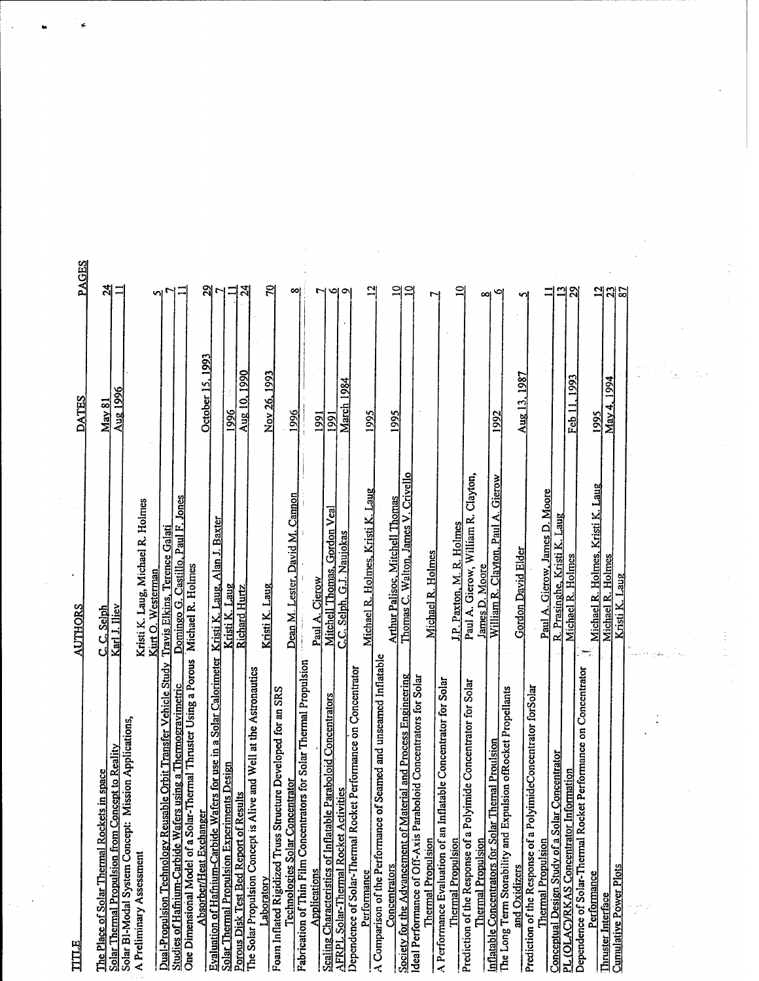| TITLE                                                                                                                           | <b>AUTHORS</b>                                          | DATES                                      | <b>PAGES</b>          |
|---------------------------------------------------------------------------------------------------------------------------------|---------------------------------------------------------|--------------------------------------------|-----------------------|
| The Place of Solar Thermal Rockets in space                                                                                     | C. Selph<br>ن                                           | <u>May 81</u>                              | $\boldsymbol{z}$      |
| Solar Thermal Propulsion from Concept to Reality                                                                                | Karl J. Iliev                                           | <b>Aug 1996</b>                            | 듸                     |
| Solar BI-Modal System Concept: Mission Applications,                                                                            |                                                         |                                            |                       |
| A Preliminary Assessment                                                                                                        | Kristi K. Laug, Michael R. Holmes<br>Kurt O. Westerman  |                                            | n                     |
| Dual-Propulsion Technology Reusable Orbit Transfer Vehicle Study                                                                | Travis Elkins, Terence Galati                           |                                            |                       |
| One Dimensional Model of a Solar-Thermal Thruster Using a Porous<br>Studies of Hafnium-Carbide Wafers using a Thermogravimetric | Domingo G. Castillo, Paul F. Jones<br>Michael R. Holmes |                                            |                       |
| Absorber/Heat Exchanger                                                                                                         |                                                         | October 15, 1993                           |                       |
| or use in a Solar Calorimeter<br>Evaluation of Hafnium-Carbide Wafers                                                           | Kristi K. Laug, Alan J. Baxter                          |                                            |                       |
| Solar Thermal Propulsion Experiments Design<br>Porous Disk Test Bed Report of Results                                           | Kristi K. Laug<br><b>Richard Hurtz</b>                  | 1996                                       | Ξ                     |
| The Solar Propulsion Concept is Alive and Well at the Astronautics                                                              |                                                         | Aug 10, 1990                               | শ্ৰ                   |
| Laboratory                                                                                                                      | Kristi K. Laug                                          | Nov 26, 1993                               | $\mathbb{R}$          |
| Developed for an SRS<br>Technologies Solar Concentrator<br>Foam Inflated Rigidized Truss Structure                              | Dean M. Lester, David M. Cannon                         | 1996                                       | 예                     |
| Fabrication of Thin Film Concentrators for Solar Thermal Propulsion<br>Applications                                             |                                                         |                                            |                       |
| <b>boloid Concentrators</b><br>Scaling Characteristics of Inflatable Para                                                       | Mitchell Thomas, Gordon Veal<br>Cierow<br>Paul A.       | 1991<br><b>1991</b>                        | r                     |
| <b>AFRPL Solar-Thermal Rocket Activities</b>                                                                                    | C.C. Selph, G.J. Naujokas                               | March 1984                                 | ы<br>ຶ                |
| rformance on Concentrator<br>Dependence of Solar-Thermal Rocket Pe                                                              |                                                         |                                            |                       |
| A Comparison of the Performance of Seamed and unseamed Inflatable<br>Performance                                                | Michael R. Holmes, Kristi K. Laug                       | 1995                                       | 의                     |
| Concentrators                                                                                                                   | Arthur Palisoc, Mitchell Thomas                         | 1995                                       |                       |
| and Process Engineering<br>Society for the Advancement of Material                                                              | Thomas C. Walton, James V. Crivello                     |                                            | $\mathbf{a}$<br>$\Xi$ |
| Ideal Performance of Off-Axis Paraboloid Concentrators for Solar<br><b>Thermal Propulsion</b>                                   |                                                         |                                            |                       |
| e Concentrator for Solar<br>A Performance Evaluation of an Inflatabl                                                            | Michael R. Holmes                                       |                                            | ٣                     |
| <b>Thermal Propulsion</b>                                                                                                       | J.P. Paxton, M. R. Holmes                               |                                            | $\mathbf{r}$          |
| Prediction of the Response of a Polyimide Concentrator for Solar                                                                | Paul A. Gierow, William R. Clayton,                     |                                            |                       |
| <b>Thermal Propulsion</b>                                                                                                       | James D. Moore                                          |                                            | œ                     |
| The Long Term Storability and Expulsion ofRocket Propellants<br>Inflatable Concentrators for Solar Themal Proulsion             | William R. Clayton, Paul A. Gierow                      | 1992                                       | ۰                     |
| and Oxidizers                                                                                                                   | <b>Gordon David Elder</b>                               | 1987<br>$\frac{\text{Aug }13}{\text{Arg}}$ | s                     |
| Prediction of the Response of a PolyimideConcentrator forSolar                                                                  |                                                         |                                            |                       |
| Conceptual Design Study of a Solar Concentrator<br><b>Thermal Propulsion</b>                                                    | Paul A. Gierow, James D. Moore                          |                                            | Ξ                     |
| PL (OLAC)/RKAS Concentrator Information                                                                                         | R. Prasinghe, Kristi K. Laug<br>Michael R. Holmes       | Feb 11, 1993                               |                       |
| Dependence of Solar-Thermal Rocket Performance on Concentrator                                                                  |                                                         |                                            | ని                    |
| Performance<br><b>Thruster Interface</b>                                                                                        | Michael R. Holmes, Kristi K. Laug                       | 1995                                       | 의                     |
| <b>Cunulative Power Plots</b>                                                                                                   | Michael R. Holmes<br>Kristi K. Laug                     | May 4, 1994                                | $\mathbf{z}$<br>5     |
|                                                                                                                                 |                                                         |                                            |                       |
|                                                                                                                                 |                                                         |                                            |                       |
|                                                                                                                                 |                                                         |                                            |                       |
|                                                                                                                                 |                                                         |                                            |                       |
|                                                                                                                                 |                                                         |                                            |                       |
|                                                                                                                                 |                                                         |                                            |                       |
|                                                                                                                                 |                                                         |                                            |                       |

 $\bar{\gamma}$ 

 $\sim 10$ 

 $\sim$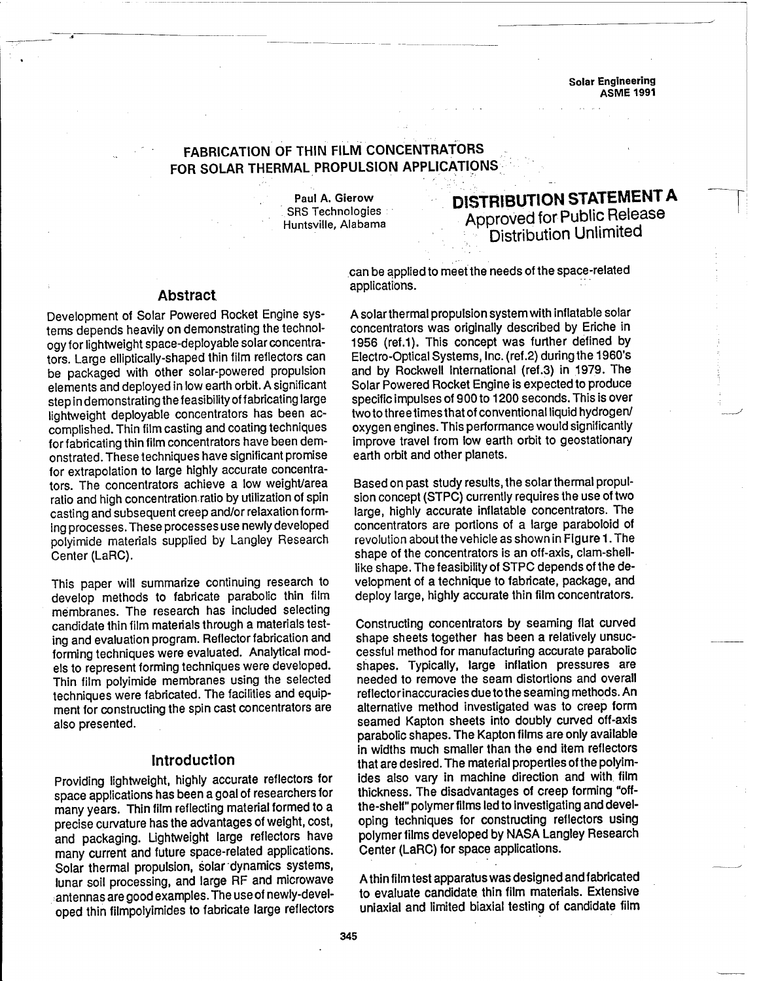**Solar Engineering ASME 1991**

## **FABRICATION OF THIN FILM CONCENTRATORS FOR SOLAR THERMAL PROPULSION APPLICATIONS**

**Paul A. Gierow** SRS Technologies Huntsville, Alabama

# **DISTRIBUTION STATEMENT A Approved for Public Release Distribution Unlimited**

### **Abstract**

Development of Solar Powered Rocket Engine systems depends heavily on demonstrating the technology for lightweight space-deployable solar concentrators. Large elliptically-shaped thin film reflectors can be packaged with other solar-powered propulsion elements and deployed in low earth orbit. A significant step in demonstrating the feasibility of fabricating large lightweight deployable concentrators has been accomplished. Thin film casting and coating techniques for fabricating thin film concentrators have been demonstrated. These techniques have significant promise for extrapolation to large highly accurate concentrators. The concentrators achieve a low weight/area ratio and high concentration ratio by utilization of spin casting and subsequent creep and/or relaxation forming processes. These processes use newly developed polyimide materials supplied by Langley Research Center (LaRC).

This paper will summarize continuing research to develop methods to fabricate parabolic thin film membranes. The research has included selecting candidate thin film materials through a materials testing and evaluation program. Reflector fabrication and forming techniques were evaluated. Analytical models to represent forming techniques were developed. Thin film polyimide membranes using the selected techniques were fabricated. The facilities and equipment for constructing the spin cast concentrators are also presented.

### **Introduction**

Providing lightweight, highly accurate reflectors for space applications has been a goal of researchers for many years. Thin film reflecting material formed to a precise curvature has the advantages of weight, cost, and packaging. Lightweight large reflectors have many current and future space-related applications. Solar thermal propulsion, solar dynamics systems, lunar soil processing, and large RF and microwave antennas are goodexamples. The useof newly-developed thin filmpolyimides to fabricate large reflectors can be appliedto meetthe needs of the space-related applications.

A solar thermal propulsion system with inflatable solar concentrators was originally described by Eriche in 1956 (ref.1). This concept was further defined by Electro-Optical Systems, Inc. (ref.2) duringthe 1960's and by Rockwell International (ref.3) in 1979. The Solar Powered Rocket Engine is expected to produce specific impulses of 900 to 1200 seconds. This is over two to three times that of conventional liquid hydrogen/ oxygen engines. This performance would significantly improve travel from low earth orbit to geostationary earth orbit and other planets.

Based on past study results, the solar thermal propulsion concept (STPC) currently requires the use of two large, highly accurate inflatable concentrators. The concentrators are portions of a large paraboloid of revolution about the vehicle as shown in Figure 1. The shape of the concentrators is an off-axis, clam-shelllike shape. The feasibility of STPC depends of the development of a technique to fabricate, package, and deploy large, highly accurate thin film concentrators.

Constructing concentrators by seaming flat curved shape sheets together has been a relatively unsuccessful method for manufacturing accurate parabolic shapes. Typically, large inflation pressures are needed to remove the seam distortions and overall reflectorinaccuracies duetothe seaming methods. An alternative method investigated was to creep form seamed Kapton sheets into doubly curved off-axis parabolic shapes. The Kapton films are only available in widths much smaller than the end item reflectors that are desired. The material properties of the polyimides also vary in machine direction and with film thickness. The disadvantages of creep forming "offthe-shelf" polymer films led to investigating and developing techniques for constructing reflectors using polymer films developed by NASA Langley Research Center (LaRC) for space applications.

A thin film test apparatus was designed and fabricated to evaluate candidate thin film materials. Extensive uniaxial and limited biaxial testing of candidate film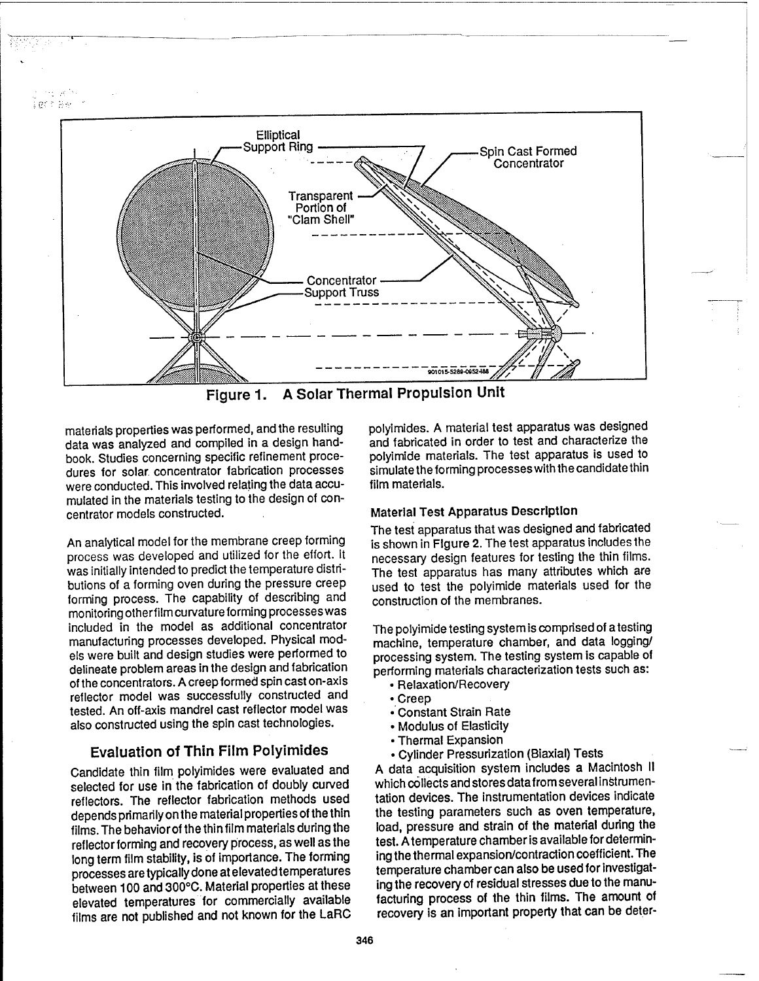$\sim_{1}$   $\mathcal{A}^{(1)}$ .<br>Igtfar i



Figure 1. A Solar Thermal Propulsion Unit

materials properties was performed, and the resulting data was analyzed and compiled in a design handbook. Studies concerning specific refinement procedures for solar, concentrator fabrication processes were conducted. This involved relating the data accumulated in the materials testing to the design of concentrator models constructed.

An analytical model for the membrane creep forming process was developed and utilized for the effort. It was initially intended to predict the temperature distributions of a forming oven during the pressure creep forming process. The capability of describing and monitoring otherfilm curvatureforming processes was included in the model as additional concentrator manufacturing processes developed. Physical models were built and design studies were performed to delineate problem areas in the design and fabrication of the concentrators. A creep formed spin cast on-axis reflector model was successfully constructed and tested. An off-axis mandrel cast reflector model was also constructed using the spin cast technologies.

## **Evaluation of Thin Film Polyimides**

Candidate thin film polyimides were evaluated and selected for use in the fabrication of doubly curved reflectors. The reflector fabrication methods used depends primarily on the material properties of the thin films. The behavior of the thin film materials during the reflector forming and recovery process, as well as the long term film stability, is of importance. The forming processes aretypically done at elevatedtemperatures between 100 and 300°C. Material properties at these elevated temperatures for commercially available films are not published and not known for the LaRG polyimides. A material test apparatus was designed and fabricated in order to test and characterize the polyimide materials. The test apparatus is used to simulate the forming processes with the candidate thin film materials.

## Material Test Apparatus Description

The test apparatus that was designed and fabricated is shown in Figure 2. The test apparatus includes the necessary design features for testing the thin films. The test apparatus has many attributes which are used to test the polyimide materials used for the construction of the membranes.

The polyimide testing system is comprised of atesting machine, temperature chamber, and data logging/ processing system. The testing system is capable of performing materials characterization tests such as:

- Relaxation/Recovery
- Creep
- Constant Strain Rate
- Modulus of Elasticity
- Thermal Expansion
- Cylinder Pressurization (Biaxial) Tests

A data acquisition system includes a Macintosh II which collects andstores datafrom several instrumentation devices. The instrumentation devices indicate the testing parameters such as oven temperature, load, pressure and strain of the material during the test. A temperature chamber is available for determining the thermal expansion/contraction coefficient. The temperature chamber can also be used for investigating the recovery of residual stresses due to the manufacturing process of the thin films. The amount of recovery is an important property that can be deter-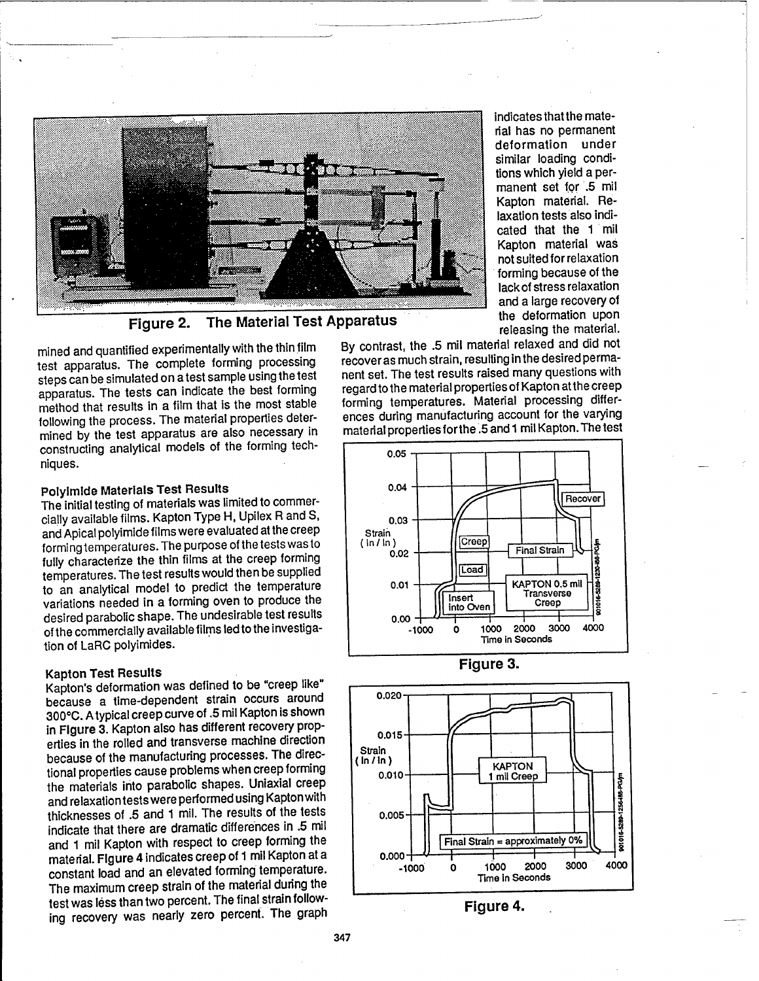

Figure 2. The Material Test Apparatus

mined and quantified experimentally with the thin film test apparatus. The complete forming processing steps can be simulated on a test sample using the test apparatus. The tests can indicate the best forming method that results in **a** film that is the most stable following the process. The material properties determined by the test apparatus are also necessary in constructing analytical models of the forming techniques.

indicates thatthe material has no permanent deformation under similar loading conditions which yield **a** permanent set for .5 mil Kapton material. Relaxation tests also indicated that the <sup>1</sup> mil Kapton material was not suited for relaxation forming because of the lack of stress relaxation and **a** large recovery of the deformation upon releasing the material.

By contrast, the .5 mil material relaxed and did not recover as much strain, resulting inthe desiredpermanent set. The test results raised many questions with regard to the material properties of Kapton at the creep forming temperatures. Material processing differences during manufacturing account for the varying material properties for the .5 and 1 mil Kapton. The test

## **Polyimlde Materials Test Results**

The initial testing of materials was limited to commercially available films. Kapton Type H, Upilex R and S, and Apical polyimide films were evaluated at the creep formingtemperatures. The purpose of the tests was to fully characterize the thin films at the creep forming temperatures. The test results would then be supplied to an analytical model to predict the temperature variations needed in **a** forming oven to produce the desired parabolic shape. The undesirable test results of the commercially available films led to the investigation of LaRC polyimides.

### **Kapton Test Results**

Kapton's deformation was defined to be "creep like" because a time-dependent strain occurs around 300°C. Atypical creep curve of .5 mil Kapton is shown in **Figure 3.** Kapton also has different recovery properties in the rolled and transverse machine direction because of the manufacturing processes. The directional properties cause problems when creep forming the materials into parabolic shapes. Uniaxial creep and relaxationtests wereperformedusing Kapton with thicknesses of .5 and <sup>1</sup> mil. The results of the tests indicate that there are dramatic differences in .5 mil and <sup>1</sup> mil Kapton with respect to creep forming the material. **Figure 4** indicates creep of <sup>1</sup> mil Kapton at **a** constant load and an elevated forming temperature. The maximum creep strain of the material during the test was less than two percent. The final strain following recovery was nearly zero percent. The graph





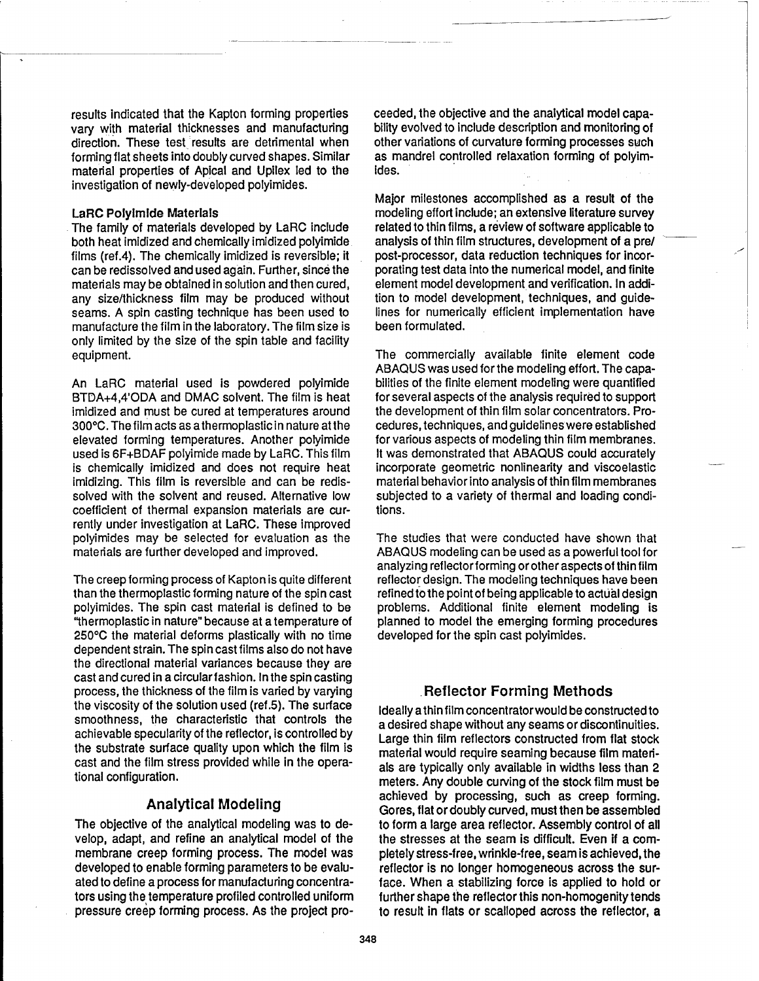results indicated that the Kapton forming properties vary with material thicknesses and manufacturing direction. These test results are detrimental when forming flat sheets into doubly curved shapes. Similar material properties of Apical and Upilex led to the investigation of newly-developed polyimides.

#### LaRC Polylmlde **Materials**

The family of materials developed by LaRC include both heat imidized and chemically imidized polyimide films (ref.4). The chemically imidized is reversible; it can be redissolved and used again. Further, since the materials may be obtained in solution and then cured, any size/thickness film may be produced without seams. A spin casting technique has been used to manufacture the film in the laboratory. The film size is only limited by the size of the spin table and facility equipment.

An LaRC material used is powdered polyimide BTDA+4,4'ODA and DMAC solvent. The film is heat imidized and must be cured at temperatures around 300°C. Thefilm acts as athermoplasticin nature atthe elevated forming temperatures. Another polyimide used is 6F+BDAF polyimide made by LaRC. This film is chemically imidized and does not require heat imidizing. This film is reversible and can be redissolved with the solvent and reused. Alternative low coefficient of thermal expansion materials are currently under investigation at LaRC. These improved polyimides may be selected for evaluation as the materials are further developed and improved.

The creep forming process of Kapton is quite different than the thermoplastic forming nature of the spin cast polyimides. The spin cast material is defined to be "thermoplastic in nature" because at a temperature of 250°C the material deforms plastically with no time dependent strain. The spin cast films also do not have the directional material variances because they are cast and cured in a circular fashion. In the spin casting process, the thickness of the film is varied by varying the viscosity of the solution used (ref.5). The surface smoothness, the characteristic that controls the achievable specularity of the reflector, is controlled by the substrate surface quality upon which the film is cast and the film stress provided while in the operational configuration.

### Analytical Modeling

The objective of the analytical modeling was to develop, adapt, and refine an analytical model of the membrane creep forming process. The model was developed to enable forming parameters to be evaluated to define a process for manufacturing concentrators using the temperature profiled controlled uniform pressure creep forming process. As the project proceeded, the objective and the analytical model capability evolved to include description and monitoring of other variations of curvature forming processes such as mandrel controlled relaxation forming of polyimides.

Major milestones accomplished as a result of the modeling effort include; an extensive literature survey related to thin films, a review of software applicable to analysis of thin film structures, development of a pre/ post-processor, data reduction techniques for incorporating test data into the numerical model, and finite element model development and verification. In addition to model development, techniques, and guidelines for numerically efficient implementation have been formulated.

The commercially available finite element code ABAQUS was used for the modeling effort. The capabilities of the finite element modeling were quantified for several aspects of the analysis required to support the development of thin film solar concentrators. Procedures, techniques, and guidelines were established for various aspects of modeling thin film membranes. It was demonstrated that ABAQUS could accurately incorporate geometric nonlinearity and viscoelastic material behavior into analysis of thin film membranes subjected to a variety of thermal and loading conditions.

The studies that were conducted have shown that ABAQUS modeling can be used as a powerful tool for analyzing reflectorforming or other aspects ofthinfilm reflector design. The modeling techniques have been refined to the point of being applicable to actual design problems. Additional finite element modeling is planned to model the emerging forming procedures developed for the spin cast polyimides.

### **Reflector Forming Methods**

Ideally a thin film concentrator would be constructed to a desired shape without any seams or discontinuities. Large thin film reflectors constructed from flat stock material would require seaming because film materials are typically only available in widths less than 2 meters. Any double curving of the stock film must be achieved by processing, such as creep forming. Gores, flat or doubly curved, must then be assembled to form a large area reflector. Assembly control of all the stresses at the seam is difficult. Even if a completely stress-free, wrinkle-free, seam is achieved, the reflector is no longer homogeneous across the surface. When a stabilizing force is applied to hold or further shape the reflector this non-homogenity tends to result in flats or scalloped across the reflector, a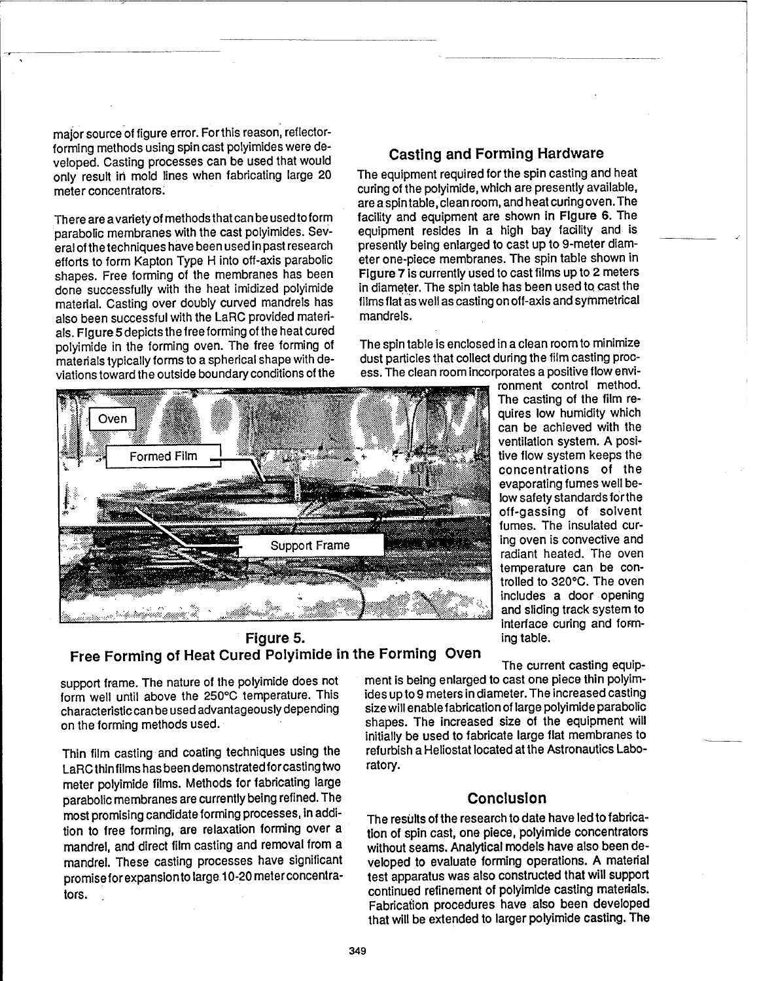major source of figure error. For this reason, reflectorforming methods using spin cast polyimides were developed. Casting processes can be used that would only result in mold lines when fabricating large 20 meter concentrators.

There are avariety of methods that canbe usedtoform parabolic membranes with the cast polyimides. Several of the techniques have been used in past research efforts to form Kapton Type H into off-axis parabolic shapes. Free forming of the membranes has been done successfully with the heat imidized polyimide material. Casting over doubly curved mandrels has also been successful with the LaRC provided materials. Figure 5 depicts the free forming of the heat cured polyimide in the forming oven. The free forming of materials typically forms to a spherical shape with deviations toward the outside boundary conditions of the

## Casting and Forming Hardware

The equipment required for the spin casting and heat curing of the polyimide, which are presently available, are a spintable, clean room, and heat curingoven. The facility and equipment are shown in Figure 6. The equipment resides in a high bay facility and is presently being enlarged to cast up to 9-meter diameter one-piece membranes. The spin table shown in Figure 7 is currently used to cast films up to 2 meters in diameter. The spin table has been used to. cast the films flat as well as castingonoff-axis and symmetrical mandrels.

The spin table is enclosed in a clean room to minimize dust particles that collect during the film casting process. The clean room incorporates a positive flow envi-



ronment control method. The casting of the film requires low humidity which can be achieved with the ventilation system. A positive flow system keeps the concentrations of the evaporating fumes well below safety standards forthe off-gassing of solvent fumes. The insulated curing oven is convective and radiant heated. The oven temperature can be controlled to 320°C. The oven includes a door opening and sliding track system to interface curing and forming table.

Figure 5. Free Forming of Heat Cured Polyimide in the Forming Oven

support frame. The nature of the polyimide does not form well until above the 250°C temperature. This characteristic can be used advantageously depending on the forming methods used.

Thin film casting and coating techniques using the LaRCthinfilmshasbeendemonstratedforcastingtwo meter polyimide films. Methods for fabricating large parabolic membranes are currently being refined. The most promising candidate forming processes, in addition to free forming, are relaxation forming over a mandrel, and direct film casting and removal from a mandrel. These casting processes have significant promiseforexpansionto large 10-20 meterconcentrators.

The current casting equipment is being enlarged to cast one piece thin polyimides up to 9 meters in diameter. The increased casting size will enablefabricationof large polyimide parabolic shapes. The increased size of the equipment will initially be used to fabricate large flat membranes to refurbish a Heliostat located at the Astronautics Laboratory.

## **Conclusion**

The results of the research to date have led to fabrication of spin cast, one piece, polyimide concentrators without seams. Analytical models have also been developed to evaluate forming operations. A material test apparatus was also constructed that will support continued refinement of polyimide casting materials. Fabrication procedures have also been developed that will be extended to larger polyimide casting. The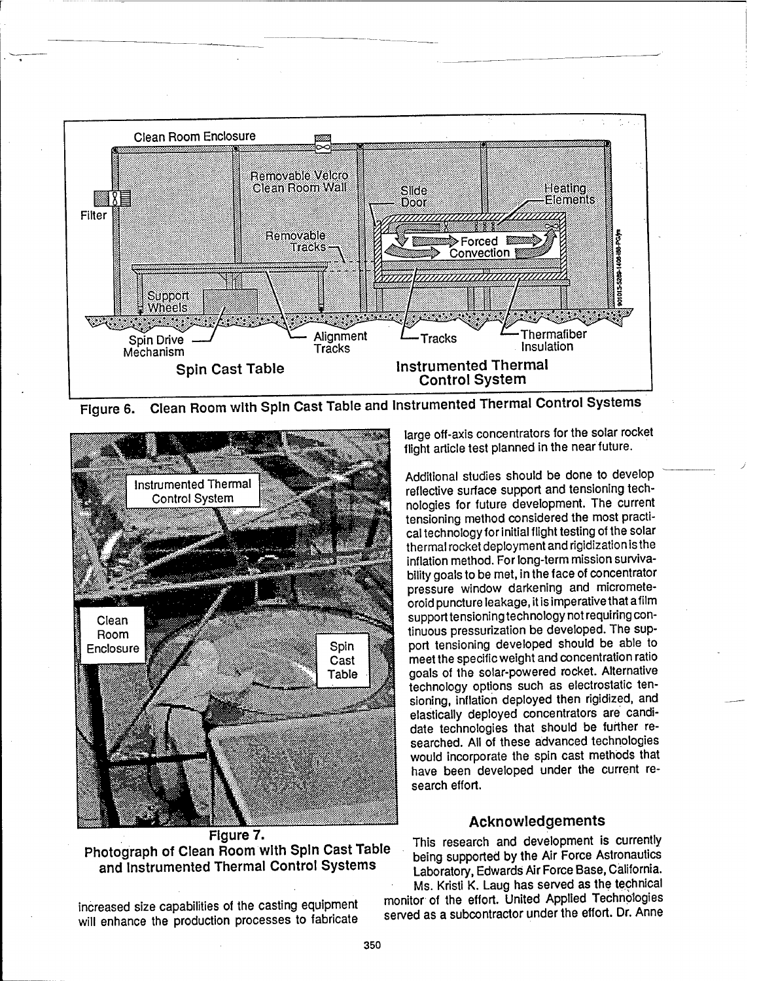

**Figure 6. Clean Room with Spin Cast Table and Instrumented Thermal Control Systems**



**Photograph of Clean Room with Spin Cast Table and Instrumented Thermal Control Systems**

increased size capabilities of the casting equipment will enhance the production processes to fabricate large off-axis concentrators for the solar rocket flight article test planned in the near future.

Additional studies should be done to develop reflective surface support and tensioning technologies for future development. The current tensioning method considered the most practical technology for initial flight testing of the solar thermal rocket deployment and rigidizationis the inflation method. For long-term mission survivability goals to be met, in the face of concentrator pressure window darkening and micrometeoroid puncture leakage, it is imperativethat afilm support tensioning technology not requiring continuous pressurization be developed. The support tensioning developed should be able to meet the specific weight and concentration ratio goals of the solar-powered rocket. Alternative technology options such as electrostatic tensioning, inflation deployed then rigidized, and elastically deployed concentrators are candidate technologies that should be further researched. All of these advanced technologies would incorporate the spin cast methods that have been developed under the current research effort.

### **Acknowledgements**

This research and development is currently being supported by the Air Force Astronautics Laboratory, Edwards Air Force Base, California. Ms. Kristi K. Laug has served as the technical

monitor of the effort. United Applied Technologies served as a subcontractor under the effort. Dr. Anne